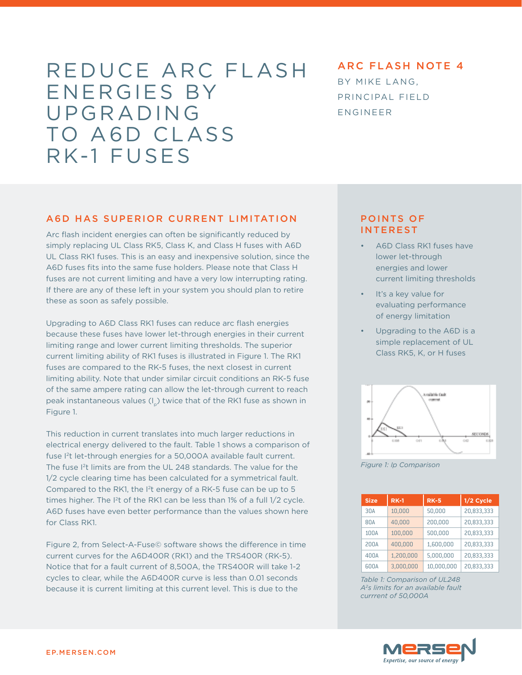# REDUCE ARC FLASH ENERGIES BY UPGRADING TO A6D CLASS RK-1 FUSES

# ARC FLASH NOTE 4 BY MIKE LANG, PRINCIPAL FIELD ENGINEER

#### A6D HAS SUPERIOR CURRENT LIMITATION

Arc flash incident energies can often be significantly reduced by simply replacing UL Class RK5, Class K, and Class H fuses with A6D UL Class RK1 fuses. This is an easy and inexpensive solution, since the A6D fuses fits into the same fuse holders. Please note that Class H fuses are not current limiting and have a very low interrupting rating. If there are any of these left in your system you should plan to retire these as soon as safely possible.

Upgrading to A6D Class RK1 fuses can reduce arc flash energies because these fuses have lower let-through energies in their current limiting range and lower current limiting thresholds. The superior current limiting ability of RK1 fuses is illustrated in Figure 1. The RK1 fuses are compared to the RK-5 fuses, the next closest in current limiting ability. Note that under similar circuit conditions an RK-5 fuse of the same ampere rating can allow the let-through current to reach peak instantaneous values  $(I_n)$  twice that of the RK1 fuse as shown in Figure 1.

This reduction in current translates into much larger reductions in electrical energy delivered to the fault. Table 1 shows a comparison of fuse I2t let-through energies for a 50,000A available fault current. The fuse I<sup>2</sup>t limits are from the UL 248 standards. The value for the 1/2 cycle clearing time has been calculated for a symmetrical fault. Compared to the RK1, the I2t energy of a RK-5 fuse can be up to 5 times higher. The I<sup>2</sup>t of the RK1 can be less than 1% of a full 1/2 cycle. A6D fuses have even better performance than the values shown here for Class RK1.

Figure 2, from Select-A-Fuse© software shows the difference in time current curves for the A6D400R (RK1) and the TRS400R (RK-5). Notice that for a fault current of 8,500A, the TRS400R will take 1-2 cycles to clear, while the A6D400R curve is less than 0.01 seconds because it is current limiting at this current level. This is due to the

#### POINTS OF INTEREST

- A6D Class RK1 fuses have lower let-through energies and lower current limiting thresholds
- It's a key value for evaluating performance of energy limitation
- Upgrading to the A6D is a simple replacement of UL Class RK5, K, or H fuses



*Figure 1: Ip Comparison*

| <b>Size</b> | $RK-1$    | <b>RK-5</b> | 1/2 Cycle  |
|-------------|-----------|-------------|------------|
| 30A         | 10,000    | 50,000      | 20,833,333 |
| 80A         | 40,000    | 200,000     | 20,833,333 |
| 100A        | 100,000   | 500,000     | 20,833,333 |
| 200A        | 400,000   | 1,600,000   | 20,833,333 |
| 400A        | 1,200,000 | 5,000,000   | 20,833,333 |
| 600A        | 3,000,000 | 10.000.000  | 20,833,333 |

*Table 1: Comparison of UL248 A2s limits for an available fault currrent of 50,000A*

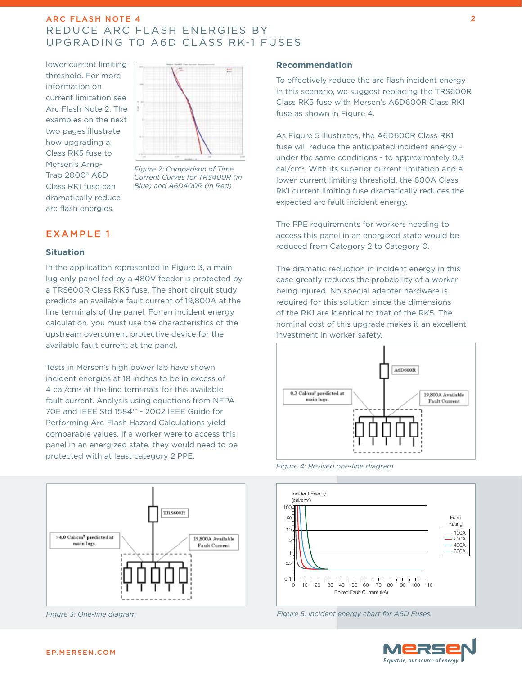# ARC FLASH NOTE 4 REDUCE ARC FLASH ENERGIES BY UPGRADING TO A6D CLASS RK-1 FUSES

lower current limiting threshold. For more information on current limitation see Arc Flash Note 2. The examples on the next two pages illustrate how upgrading a Class RK5 fuse to Mersen's Amp-Trap 2000® A6D Class RK1 fuse can dramatically reduce arc flash energies.



*Figure 2: Comparison of Time Current Curves for TRS400R (in Blue) and A6D400R (in Red)* 

# EXAMPLE 1

#### **Situation**

In the application represented in Figure 3, a main lug only panel fed by a 480V feeder is protected by a TRS600R Class RK5 fuse. The short circuit study predicts an available fault current of 19,800A at the line terminals of the panel. For an incident energy calculation, you must use the characteristics of the upstream overcurrent protective device for the available fault current at the panel.

Tests in Mersen's high power lab have shown incident energies at 18 inches to be in excess of 4 cal/cm2 at the line terminals for this available fault current. Analysis using equations from NFPA 70E and IEEE Std 1584™ - 2002 IEEE Guide for Performing Arc-Flash Hazard Calculations yield comparable values. If a worker were to access this panel in an energized state, they would need to be protected with at least category 2 PPE.



*Figure 3: One-line diagram*

#### **Recommendation**

To effectively reduce the arc flash incident energy in this scenario, we suggest replacing the TRS600R Class RK5 fuse with Mersen's A6D600R Class RK1 fuse as shown in Figure 4.

As Figure 5 illustrates, the A6D600R Class RK1 fuse will reduce the anticipated incident energy under the same conditions - to approximately 0.3 cal/cm2. With its superior current limitation and a lower current limiting threshold, the 600A Class RK1 current limiting fuse dramatically reduces the expected arc fault incident energy.

The PPE requirements for workers needing to access this panel in an energized state would be reduced from Category 2 to Category 0.

The dramatic reduction in incident energy in this case greatly reduces the probability of a worker being injured. No special adapter hardware is required for this solution since the dimensions of the RK1 are identical to that of the RK5. The nominal cost of this upgrade makes it an excellent investment in worker safety.



*Figure 4: Revised one-line diagram*



*Figure 5: Incident energy chart for A6D Fuses.*



2

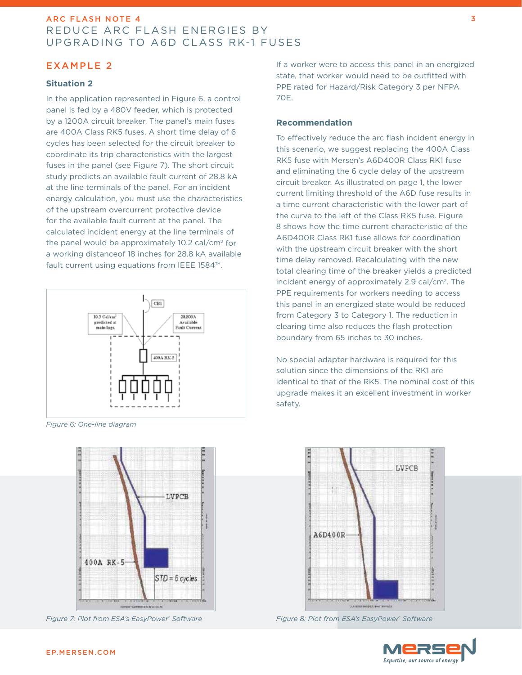# ARC FLASH NOTE 4 REDUCE ARC FLASH ENERGIES BY UPGRADING TO A6D CLASS RK-1 FUSES

# EXAMPLE 2

#### **Situation 2**

In the application represented in Figure 6, a control panel is fed by a 480V feeder, which is protected by a 1200A circuit breaker. The panel's main fuses are 400A Class RK5 fuses. A short time delay of 6 cycles has been selected for the circuit breaker to coordinate its trip characteristics with the largest fuses in the panel (see Figure 7). The short circuit study predicts an available fault current of 28.8 kA at the line terminals of the panel. For an incident energy calculation, you must use the characteristics of the upstream overcurrent protective device for the available fault current at the panel. The calculated incident energy at the line terminals of the panel would be approximately 10.2 cal/cm2 for a working distanceof 18 inches for 28.8 kA available fault current using equations from IEEE 1584™.



*Figure 6: One-line diagram*



*Figure 7: Plot from ESA's EasyPower® Software*

If a worker were to access this panel in an energized state, that worker would need to be outfitted with PPE rated for Hazard/Risk Category 3 per NFPA 70E.

#### **Recommendation**

To effectively reduce the arc flash incident energy in this scenario, we suggest replacing the 400A Class RK5 fuse with Mersen's A6D400R Class RK1 fuse and eliminating the 6 cycle delay of the upstream circuit breaker. As illustrated on page 1, the lower current limiting threshold of the A6D fuse results in a time current characteristic with the lower part of the curve to the left of the Class RK5 fuse. Figure 8 shows how the time current characteristic of the A6D400R Class RK1 fuse allows for coordination with the upstream circuit breaker with the short time delay removed. Recalculating with the new total clearing time of the breaker yields a predicted incident energy of approximately 2.9 cal/cm<sup>2</sup>. The PPE requirements for workers needing to access this panel in an energized state would be reduced from Category 3 to Category 1. The reduction in clearing time also reduces the flash protection boundary from 65 inches to 30 inches.

No special adapter hardware is required for this solution since the dimensions of the RK1 are identical to that of the RK5. The nominal cost of this upgrade makes it an excellent investment in worker safety.



*Figure 8: Plot from ESA's EasyPower® Software*